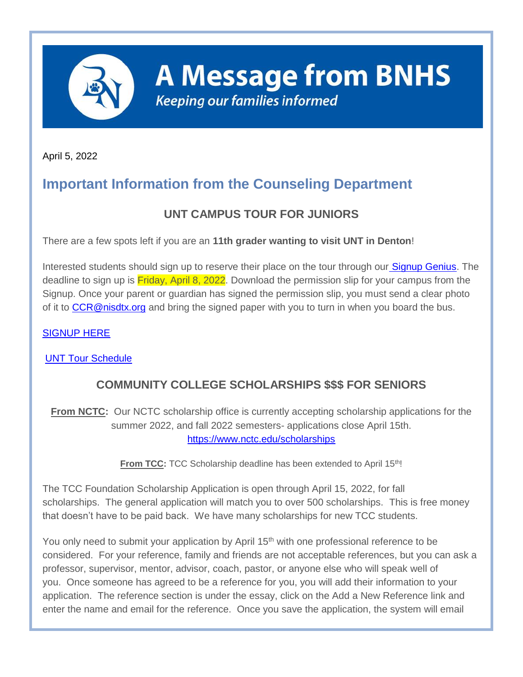

**A Message from BNHS Keeping our families informed** 

April 5, 2022

# **Important Information from the Counseling Department**

# **UNT CAMPUS TOUR FOR JUNIORS**

There are a few spots left if you are an **11th grader wanting to visit UNT in Denton**!

Interested students should sign up to reserve their place on the tour through our **[Signup Genius.](http://track.spe.schoolmessenger.com/f/a/hJe1ZX5x64j4mUk-VQjEEg~~/AAAAAQA~/RgRkLd4QP0Q8aHR0cHM6Ly93d3cuc2lnbnVwZ2VuaXVzLmNvbS9nby8xMEMwQTQ0QThBRTJCQTNGRTMtdW50Y2FtcHVzVwdzY2hvb2xtQgpiS5CqTGIruF7mUhNwc21pdGgwNEBuaXNkdHgub3JnWAQAAAAB)** The deadline to sign up is **Friday, April 8, 2022**. Download the permission slip for your campus from the Signup. Once your parent or guardian has signed the permission slip, you must send a clear photo of it to [CCR@nisdtx.org](mailto:CCR@nisdtx.org) and bring the signed paper with you to turn in when you board the bus.

#### [SIGNUP HERE](http://track.spe.schoolmessenger.com/f/a/hJe1ZX5x64j4mUk-VQjEEg~~/AAAAAQA~/RgRkLd4QP0Q8aHR0cHM6Ly93d3cuc2lnbnVwZ2VuaXVzLmNvbS9nby8xMEMwQTQ0QThBRTJCQTNGRTMtdW50Y2FtcHVzVwdzY2hvb2xtQgpiS5CqTGIruF7mUhNwc21pdGgwNEBuaXNkdHgub3JnWAQAAAAB)

[UNT Tour Schedule](http://track.spe.schoolmessenger.com/f/a/qsH6uxv62ICwFcbvG4hqOA~~/AAAAAQA~/RgRkLd4QP0R1aHR0cHM6Ly9tc2cuc2Nob29sbWVzc2VuZ2VyLmNvbS9tLz9zPU0zZmVaSkt5LURFJm1hbD0wNTBmZmQ1Yjk5MjRkYzUwM2ViYTdhNzkzMWRmNDViZTczYzE2MWEwOTMyYWY0NzU4NTFlZDA3NmQzYjExNGZlVwdzY2hvb2xtQgpiS5CqTGIruF7mUhNwc21pdGgwNEBuaXNkdHgub3JnWAQAAAAB)

## **COMMUNITY COLLEGE SCHOLARSHIPS \$\$\$ FOR SENIORS**

**From NCTC:** Our NCTC scholarship office is currently accepting scholarship applications for the summer 2022, and fall 2022 semesters- applications close April 15th[.](http://track.spe.schoolmessenger.com/f/a/Diwpkq_7vpgLruPq4hq7TA~~/AAAAAQA~/RgRkLd4QP0RXaHR0cHM6Ly9wcm90ZWN0LXVzLm1pbWVjYXN0LmNvbS9zL3VFbndDTThBejh0OXY0UDJIV3drQks_ZG9tYWluPWxpbmtwcm90ZWN0LmN1ZGFzdmMuY29tVwdzY2hvb2xtQgpiS5CqTGIruF7mUhNwc21pdGgwNEBuaXNkdHgub3JnWAQAAAAB) [https://www.nctc.edu/scholarships](http://track.spe.schoolmessenger.com/f/a/Diwpkq_7vpgLruPq4hq7TA~~/AAAAAQA~/RgRkLd4QP0RXaHR0cHM6Ly9wcm90ZWN0LXVzLm1pbWVjYXN0LmNvbS9zL3VFbndDTThBejh0OXY0UDJIV3drQks_ZG9tYWluPWxpbmtwcm90ZWN0LmN1ZGFzdmMuY29tVwdzY2hvb2xtQgpiS5CqTGIruF7mUhNwc21pdGgwNEBuaXNkdHgub3JnWAQAAAAB)

From TCC: TCC Scholarship deadline has been extended to April 15<sup>th</sup>!

The TCC Foundation Scholarship Application is open through April 15, 2022, for fall scholarships. The general application will match you to over 500 scholarships. This is free money that doesn't have to be paid back. We have many scholarships for new TCC students.

You only need to submit your application by April 15<sup>th</sup> with one professional reference to be considered. For your reference, family and friends are not acceptable references, but you can ask a professor, supervisor, mentor, advisor, coach, pastor, or anyone else who will speak well of you. Once someone has agreed to be a reference for you, you will add their information to your application. The reference section is under the essay, click on the Add a New Reference link and enter the name and email for the reference. Once you save the application, the system will email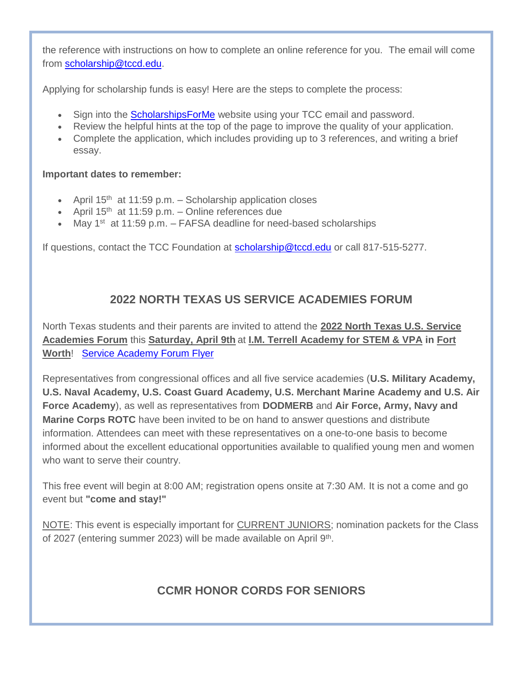the reference with instructions on how to complete an online reference for you. The email will come from [scholarship@tccd.edu.](mailto:scholarship@tccd.edu)

Applying for scholarship funds is easy! Here are the steps to complete the process:

- Sign into the [ScholarshipsForMe](http://track.spe.schoolmessenger.com/f/a/USk4XLn0X4VwrpIT80nfFw~~/AAAAAQA~/RgRkLd4QP0RWaHR0cHM6Ly9wcm90ZWN0LXVzLm1pbWVjYXN0LmNvbS9zL3dyWmlDRzZycTZTcW1PNFloS0pZRGs_ZG9tYWluPXRjY2QuYWNhZGVtaWN3b3Jrcy5jb21XB3NjaG9vbG1CCmJLkKpMYiu4XuZSE3BzbWl0aDA0QG5pc2R0eC5vcmdYBAAAAAE~) website using your TCC email and password.
- Review the helpful hints at the top of the page to improve the quality of your application.
- Complete the application, which includes providing up to 3 references, and writing a brief essay.

#### **Important dates to remember:**

- April  $15<sup>th</sup>$  at 11:59 p.m. Scholarship application closes
- April  $15<sup>th</sup>$  at 11:59 p.m. Online references due
- May 1<sup>st</sup> at 11:59 p.m. FAFSA deadline for need-based scholarships

If questions, contact the TCC Foundation at [scholarship@tccd.edu](mailto:scholarship@tccd.edu) or call 817-515-5277.

### **2022 NORTH TEXAS US SERVICE ACADEMIES FORUM**

North Texas students and their parents are invited to attend the **2022 North Texas U.S. Service Academies Forum** this **Saturday, April 9th** at **I.M. Terrell Academy for STEM & VPA in Fort Worth**! [Service Academy Forum Flyer](http://track.spe.schoolmessenger.com/f/a/n7le_ln7j5HsYZIyIt-bxQ~~/AAAAAQA~/RgRkLd4QP0R1aHR0cHM6Ly9tc2cuc2Nob29sbWVzc2VuZ2VyLmNvbS9tLz9zPU0zZmVaSkt5LURFJm1hbD05MGUxMWQ1Mjg3ODA1NDNhODg0NWU5MWU2YTk5NDEzNGMzZTI1NjliYTc0MzQzZTRmODdmMGQxYjAyYmE3YjMxVwdzY2hvb2xtQgpiS5CqTGIruF7mUhNwc21pdGgwNEBuaXNkdHgub3JnWAQAAAAB)

Representatives from congressional offices and all five service academies (**U.S. Military Academy, U.S. Naval Academy, U.S. Coast Guard Academy, U.S. Merchant Marine Academy and U.S. Air Force Academy**), as well as representatives from **DODMERB** and **Air Force, Army, Navy and Marine Corps ROTC** have been invited to be on hand to answer questions and distribute information. Attendees can meet with these representatives on a one-to-one basis to become informed about the excellent educational opportunities available to qualified young men and women who want to serve their country.

This free event will begin at 8:00 AM; registration opens onsite at 7:30 AM. It is not a come and go event but **"come and stay!"**

NOTE: This event is especially important for CURRENT JUNIORS; nomination packets for the Class of 2027 (entering summer 2023) will be made available on April 9<sup>th</sup>.

## **CCMR HONOR CORDS FOR SENIORS**